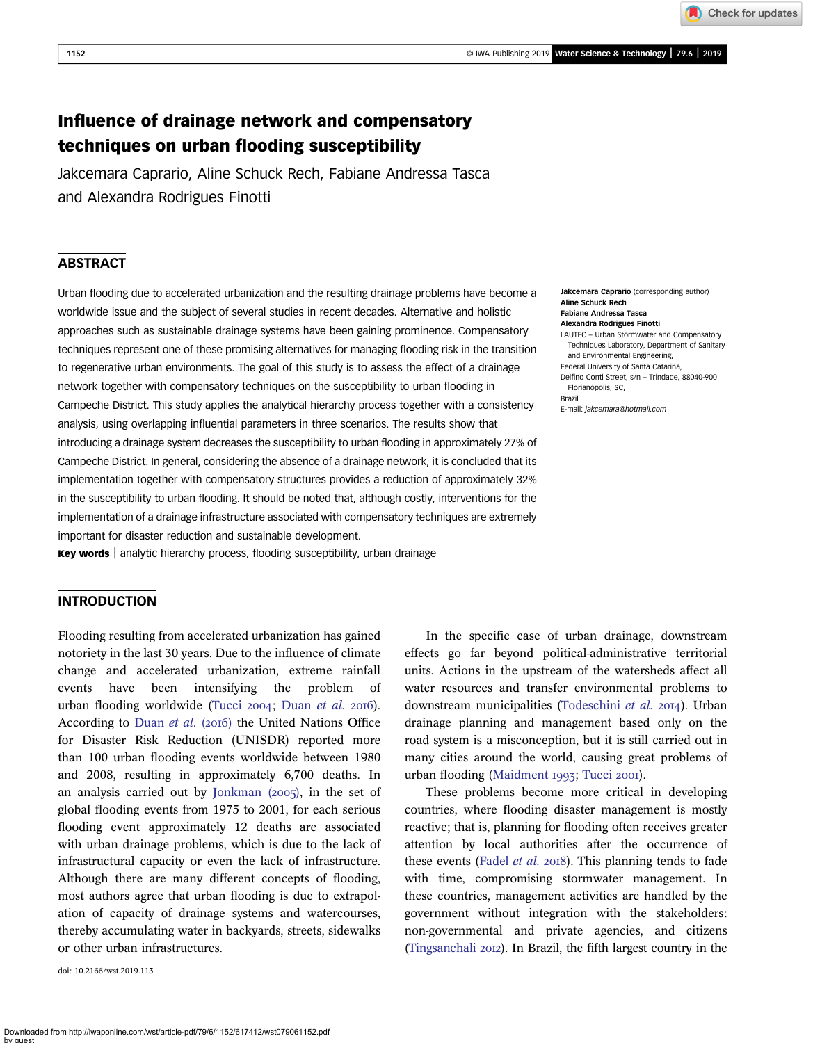Check for updates

# Influence of drainage network and compensatory techniques on urban flooding susceptibility

Jakcemara Caprario, Aline Schuck Rech, Fabiane Andressa Tasca and Alexandra Rodrigues Finotti

# ABSTRACT

Urban flooding due to accelerated urbanization and the resulting drainage problems have become a worldwide issue and the subject of several studies in recent decades. Alternative and holistic approaches such as sustainable drainage systems have been gaining prominence. Compensatory techniques represent one of these promising alternatives for managing flooding risk in the transition to regenerative urban environments. The goal of this study is to assess the effect of a drainage network together with compensatory techniques on the susceptibility to urban flooding in Campeche District. This study applies the analytical hierarchy process together with a consistency analysis, using overlapping influential parameters in three scenarios. The results show that introducing a drainage system decreases the susceptibility to urban flooding in approximately 27% of Campeche District. In general, considering the absence of a drainage network, it is concluded that its implementation together with compensatory structures provides a reduction of approximately 32% in the susceptibility to urban flooding. It should be noted that, although costly, interventions for the implementation of a drainage infrastructure associated with compensatory techniques are extremely important for disaster reduction and sustainable development.

Key words | analytic hierarchy process, flooding susceptibility, urban drainage

# INTRODUCTION

Flooding resulting from accelerated urbanization has gained notoriety in the last 30 years. Due to the influence of climate change and accelerated urbanization, extreme rainfall events have been intensifying the problem urban flooding worldwide [\(Tucci](#page-11-0)  $2004$ ; [Duan](#page-10-0) et al.  $2016$ ). According to [Duan](#page-10-0) et al. (2016) the United Nations Office for Disaster Risk Reduction (UNISDR) reported more than 100 urban flooding events worldwide between 1980 and 2008, resulting in approximately 6,700 deaths. In an analysis carried out by Jonkman  $(2005)$ , in the set of global flooding events from 1975 to 2001, for each serious flooding event approximately 12 deaths are associated with urban drainage problems, which is due to the lack of infrastructural capacity or even the lack of infrastructure. Although there are many different concepts of flooding, most authors agree that urban flooding is due to extrapolation of capacity of drainage systems and watercourses, thereby accumulating water in backyards, streets, sidewalks or other urban infrastructures.

doi: 10.2166/wst.2019.113

Jakcemara Caprario (corresponding author) Aline Schuck Rech Fabiane Andressa Tasca Alexandra Rodrigues Finotti LAUTEC – Urban Stormwater and Compensatory Techniques Laboratory, Department of Sanitary and Environmental Engineering, Federal University of Santa Catarina, Delfino Conti Street, s/n – Trindade, 88040-900 Florianópolis, SC, Brazil E-mail: [jakcemara@hotmail.com](mailto:jakcemara@hotmail.com)

In the specific case of urban drainage, downstream effects go far beyond political-administrative territorial units. Actions in the upstream of the watersheds affect all water resources and transfer environmental problems to downstream municipalities ([Todeschini](#page-11-0) et al. 2014). Urban drainage planning and management based only on the road system is a misconception, but it is still carried out in many cities around the world, causing great problems of urban flooding [\(Maidment](#page-10-0) 1993; [Tucci](#page-11-0) 2001).

These problems become more critical in developing countries, where flooding disaster management is mostly reactive; that is, planning for flooding often receives greater attention by local authorities after the occurrence of these events [\(Fadel](#page-10-0) *et al.* 2018). This planning tends to fade with time, compromising stormwater management. In these countries, management activities are handled by the government without integration with the stakeholders: non-governmental and private agencies, and citizens [\(Tingsanchali](#page-11-0) 2012). In Brazil, the fifth largest country in the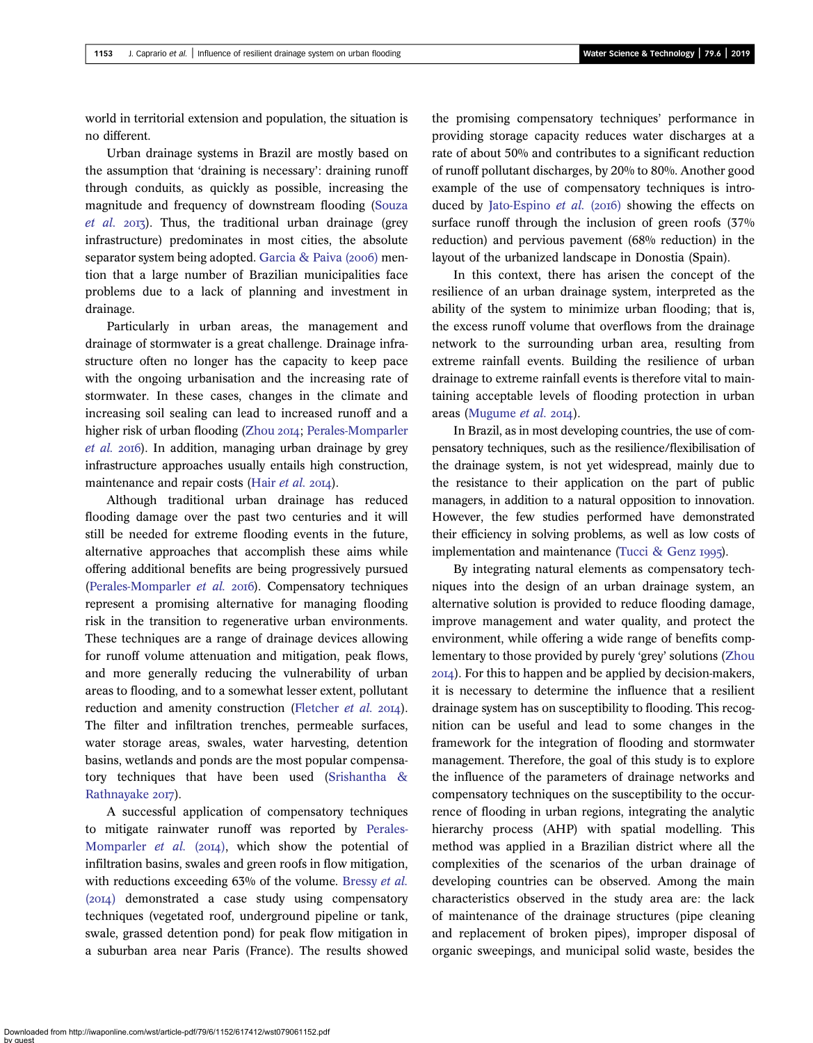world in territorial extension and population, the situation is no different.

Urban drainage systems in Brazil are mostly based on the assumption that 'draining is necessary': draining runoff through conduits, as quickly as possible, increasing the magnitude and frequency of downstream flooding [\(Souza](#page-11-0)  $et \ al.$  2013). Thus, the traditional urban drainage (grey infrastructure) predominates in most cities, the absolute separator system being adopted. Garcia & Paiva  $(2006)$  mention that a large number of Brazilian municipalities face problems due to a lack of planning and investment in drainage.

Particularly in urban areas, the management and drainage of stormwater is a great challenge. Drainage infrastructure often no longer has the capacity to keep pace with the ongoing urbanisation and the increasing rate of stormwater. In these cases, changes in the climate and increasing soil sealing can lead to increased runoff and a higher risk of urban flooding [\(Zhou](#page-11-0) 2014; [Perales-Momparler](#page-11-0)  $et$  al. 2016). In addition, managing urban drainage by grey infrastructure approaches usually entails high construction, maintenance and repair costs (Hair [et al.](#page-10-0) 2014).

Although traditional urban drainage has reduced flooding damage over the past two centuries and it will still be needed for extreme flooding events in the future, alternative approaches that accomplish these aims while offering additional benefits are being progressively pursued [\(Perales-Momparler](#page-11-0) et al. 2016). Compensatory techniques represent a promising alternative for managing flooding risk in the transition to regenerative urban environments. These techniques are a range of drainage devices allowing for runoff volume attenuation and mitigation, peak flows, and more generally reducing the vulnerability of urban areas to flooding, and to a somewhat lesser extent, pollutant reduction and amenity construction [\(Fletcher](#page-10-0) et al. 2014). The filter and infiltration trenches, permeable surfaces, water storage areas, swales, water harvesting, detention basins, wetlands and ponds are the most popular compensatory techniques that have been used [\(Srishantha &](#page-11-0) [Rathnayake](#page-11-0) 2017).

A successful application of compensatory techniques to mitigate rainwater runoff was reported by [Perales-](#page-10-0)[Momparler](#page-10-0) et al.  $(2014)$ , which show the potential of infiltration basins, swales and green roofs in flow mitigation, with reductions exceeding 63% of the volume. [Bressy](#page-10-0) et al.  $(2014)$  demonstrated a case study using compensatory techniques (vegetated roof, underground pipeline or tank, swale, grassed detention pond) for peak flow mitigation in a suburban area near Paris (France). The results showed the promising compensatory techniques' performance in providing storage capacity reduces water discharges at a rate of about 50% and contributes to a significant reduction of runoff pollutant discharges, by 20% to 80%. Another good example of the use of compensatory techniques is intro-duced by [Jato-Espino](#page-10-0) *et al.* (2016) showing the effects on surface runoff through the inclusion of green roofs  $(37%)$ reduction) and pervious pavement (68% reduction) in the layout of the urbanized landscape in Donostia (Spain).

In this context, there has arisen the concept of the resilience of an urban drainage system, interpreted as the ability of the system to minimize urban flooding; that is, the excess runoff volume that overflows from the drainage network to the surrounding urban area, resulting from extreme rainfall events. Building the resilience of urban drainage to extreme rainfall events is therefore vital to maintaining acceptable levels of flooding protection in urban areas [\(Mugume](#page-10-0)  $et$   $al.$  2014).

In Brazil, as in most developing countries, the use of compensatory techniques, such as the resilience/flexibilisation of the drainage system, is not yet widespread, mainly due to the resistance to their application on the part of public managers, in addition to a natural opposition to innovation. However, the few studies performed have demonstrated their efficiency in solving problems, as well as low costs of implementation and maintenance [\(Tucci & Genz](#page-11-0) 1995).

By integrating natural elements as compensatory techniques into the design of an urban drainage system, an alternative solution is provided to reduce flooding damage, improve management and water quality, and protect the environment, while offering a wide range of benefits complementary to those provided by purely 'grey' solutions ([Zhou](#page-11-0) ). For this to happen and be applied by decision-makers, it is necessary to determine the influence that a resilient drainage system has on susceptibility to flooding. This recognition can be useful and lead to some changes in the framework for the integration of flooding and stormwater management. Therefore, the goal of this study is to explore the influence of the parameters of drainage networks and compensatory techniques on the susceptibility to the occurrence of flooding in urban regions, integrating the analytic hierarchy process (AHP) with spatial modelling. This method was applied in a Brazilian district where all the complexities of the scenarios of the urban drainage of developing countries can be observed. Among the main characteristics observed in the study area are: the lack of maintenance of the drainage structures (pipe cleaning and replacement of broken pipes), improper disposal of organic sweepings, and municipal solid waste, besides the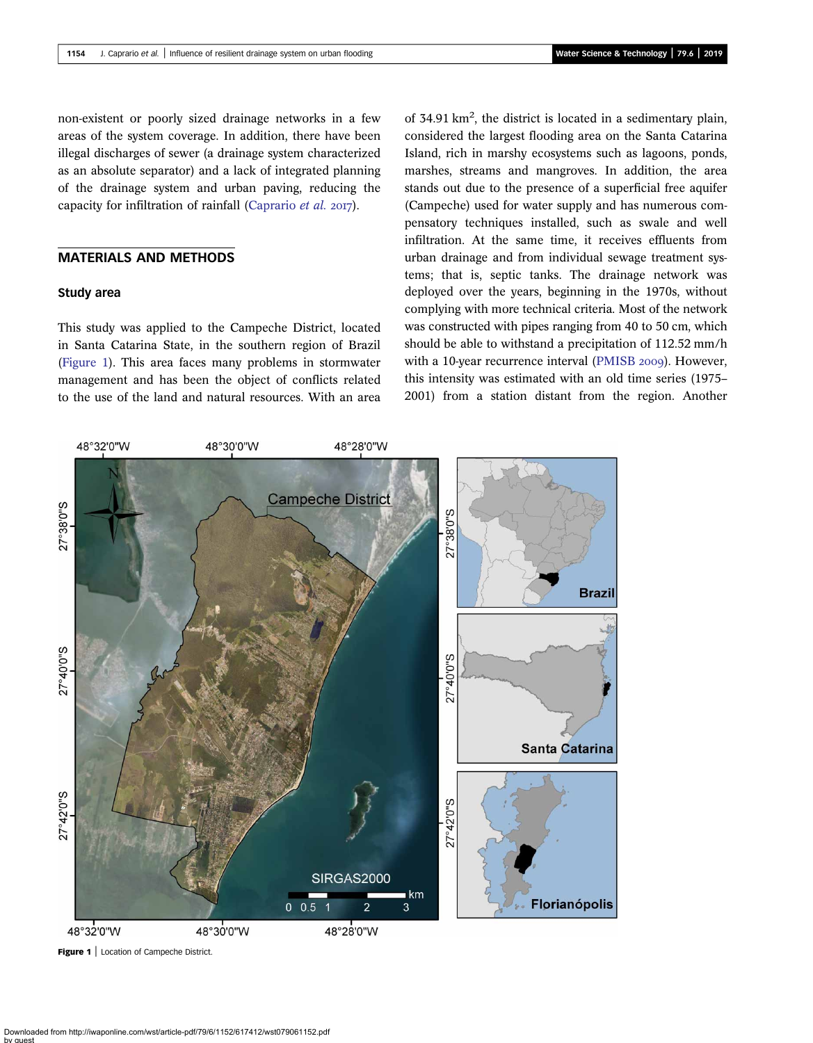non-existent or poorly sized drainage networks in a few areas of the system coverage. In addition, there have been illegal discharges of sewer (a drainage system characterized as an absolute separator) and a lack of integrated planning of the drainage system and urban paving, reducing the capacity for infiltration of rainfall [\(Caprario](#page-10-0) et al.  $2017$ ).

# MATERIALS AND METHODS

# Study area

This study was applied to the Campeche District, located in Santa Catarina State, in the southern region of Brazil (Figure 1). This area faces many problems in stormwater management and has been the object of conflicts related to the use of the land and natural resources. With an area

of 34.91 km<sup>2</sup>, the district is located in a sedimentary plain, considered the largest flooding area on the Santa Catarina Island, rich in marshy ecosystems such as lagoons, ponds, marshes, streams and mangroves. In addition, the area stands out due to the presence of a superficial free aquifer (Campeche) used for water supply and has numerous compensatory techniques installed, such as swale and well infiltration. At the same time, it receives effluents from urban drainage and from individual sewage treatment systems; that is, septic tanks. The drainage network was deployed over the years, beginning in the 1970s, without complying with more technical criteria. Most of the network was constructed with pipes ranging from 40 to 50 cm, which should be able to withstand a precipitation of 112.52 mm/h with a 10-year recurrence interval ([PMISB](#page-11-0) 2009). However, this intensity was estimated with an old time series (1975– 2001) from a station distant from the region. Another



Figure 1 | Location of Campeche District.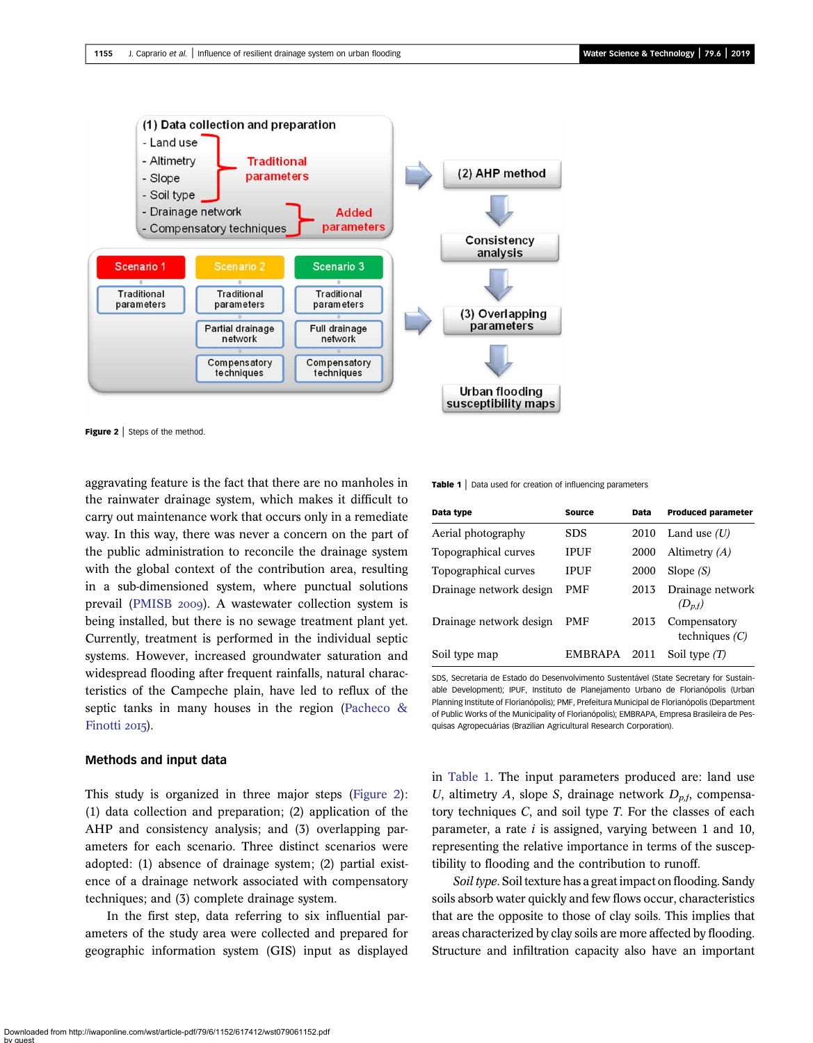<span id="page-3-0"></span>

Figure 2 | Steps of the method.

aggravating feature is the fact that there are no manholes in the rainwater drainage system, which makes it difficult to carry out maintenance work that occurs only in a remediate way. In this way, there was never a concern on the part of the public administration to reconcile the drainage system with the global context of the contribution area, resulting in a sub-dimensioned system, where punctual solutions prevail [\(PMISB](#page-11-0) 2009). A wastewater collection system is being installed, but there is no sewage treatment plant yet. Currently, treatment is performed in the individual septic systems. However, increased groundwater saturation and widespread flooding after frequent rainfalls, natural characteristics of the Campeche plain, have led to reflux of the septic tanks in many houses in the region [\(Pacheco &](#page-10-0) [Finotti](#page-10-0) 2015).

### Methods and input data

This study is organized in three major steps (Figure 2): (1) data collection and preparation; (2) application of the AHP and consistency analysis; and (3) overlapping parameters for each scenario. Three distinct scenarios were adopted: (1) absence of drainage system; (2) partial existence of a drainage network associated with compensatory techniques; and (3) complete drainage system.

In the first step, data referring to six influential parameters of the study area were collected and prepared for geographic information system (GIS) input as displayed **Table 1**  $\vert$  Data used for creation of influencing parameters

| Data type               | <b>Source</b> | Data | <b>Produced parameter</b>        |
|-------------------------|---------------|------|----------------------------------|
| Aerial photography      | <b>SDS</b>    | 2010 | Land use $(U)$                   |
| Topographical curves    | IPUF          | 2000 | Altimetry $(A)$                  |
| Topographical curves    | IPUF          | 2000 | Slope $(S)$                      |
| Drainage network design | <b>PMF</b>    | 2013 | Drainage network<br>$(D_{n,f})$  |
| Drainage network design | PMF           | 2013 | Compensatory<br>techniques $(C)$ |
| Soil type map           | EMBRAPA       | 2011 | Soil type $(1)$                  |

SDS, Secretaria de Estado do Desenvolvimento Sustentável (State Secretary for Sustainable Development); IPUF, Instituto de Planejamento Urbano de Florianópolis (Urban Planning Institute of Florianópolis); PMF, Prefeitura Municipal de Florianópolis (Department of Public Works of the Municipality of Florianópolis); EMBRAPA, Empresa Brasileira de Pesquisas Agropecuárias (Brazilian Agricultural Research Corporation).

in Table 1. The input parameters produced are: land use U, altimetry A, slope S, drainage network  $D_{p,f}$ , compensatory techniques C, and soil type T. For the classes of each parameter, a rate  $i$  is assigned, varying between 1 and 10, representing the relative importance in terms of the susceptibility to flooding and the contribution to runoff.

Soil type. Soil texture has a great impact on flooding. Sandy soils absorb water quickly and few flows occur, characteristics that are the opposite to those of clay soils. This implies that areas characterized by clay soils are more affected by flooding. Structure and infiltration capacity also have an important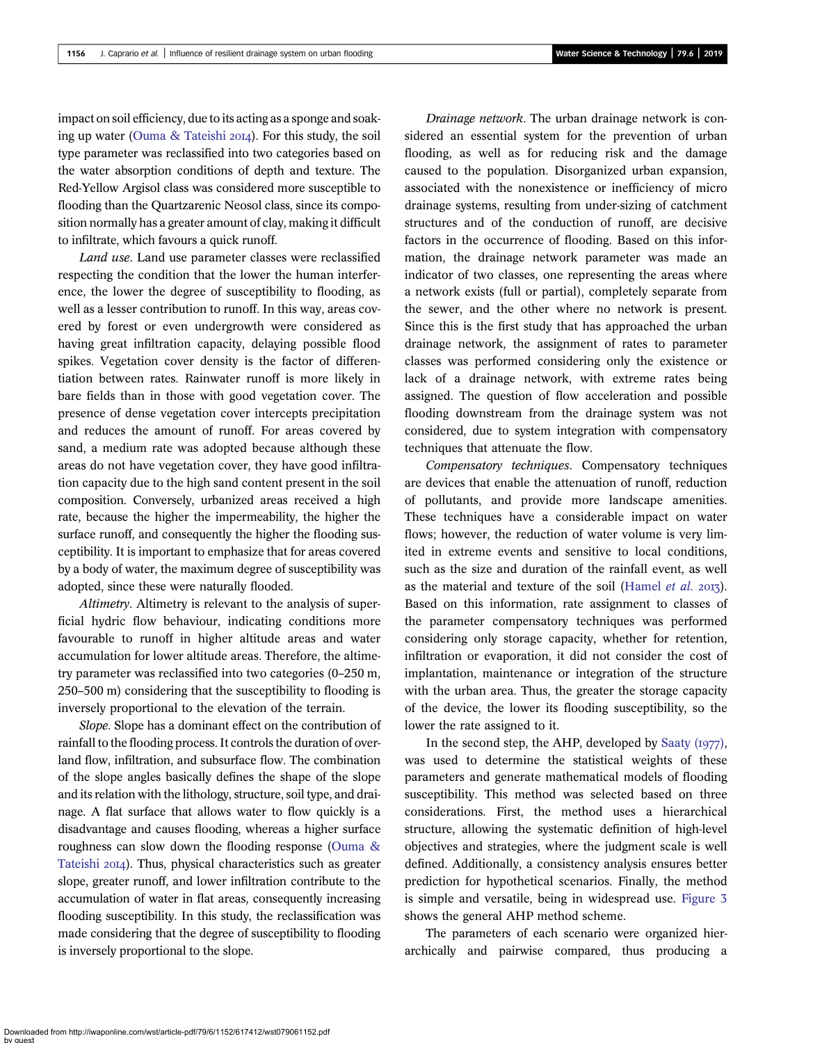impact on soil efficiency, due to its acting as a sponge and soaking up water (Ouma  $\&$  Tateishi 2014). For this study, the soil type parameter was reclassified into two categories based on the water absorption conditions of depth and texture. The Red-Yellow Argisol class was considered more susceptible to flooding than the Quartzarenic Neosol class, since its composition normally has a greater amount of clay, making it difficult to infiltrate, which favours a quick runoff.

Land use. Land use parameter classes were reclassified respecting the condition that the lower the human interference, the lower the degree of susceptibility to flooding, as well as a lesser contribution to runoff. In this way, areas covered by forest or even undergrowth were considered as having great infiltration capacity, delaying possible flood spikes. Vegetation cover density is the factor of differentiation between rates. Rainwater runoff is more likely in bare fields than in those with good vegetation cover. The presence of dense vegetation cover intercepts precipitation and reduces the amount of runoff. For areas covered by sand, a medium rate was adopted because although these areas do not have vegetation cover, they have good infiltration capacity due to the high sand content present in the soil composition. Conversely, urbanized areas received a high rate, because the higher the impermeability, the higher the surface runoff, and consequently the higher the flooding susceptibility. It is important to emphasize that for areas covered by a body of water, the maximum degree of susceptibility was adopted, since these were naturally flooded.

Altimetry. Altimetry is relevant to the analysis of superficial hydric flow behaviour, indicating conditions more favourable to runoff in higher altitude areas and water accumulation for lower altitude areas. Therefore, the altimetry parameter was reclassified into two categories (0–250 m, 250–500 m) considering that the susceptibility to flooding is inversely proportional to the elevation of the terrain.

Slope. Slope has a dominant effect on the contribution of rainfall to the flooding process. It controls the duration of overland flow, infiltration, and subsurface flow. The combination of the slope angles basically defines the shape of the slope and its relation with the lithology, structure, soil type, and drainage. A flat surface that allows water to flow quickly is a disadvantage and causes flooding, whereas a higher surface roughness can slow down the flooding response [\(Ouma &](#page-10-0) [Tateishi](#page-10-0) 2014). Thus, physical characteristics such as greater slope, greater runoff, and lower infiltration contribute to the accumulation of water in flat areas, consequently increasing flooding susceptibility. In this study, the reclassification was made considering that the degree of susceptibility to flooding is inversely proportional to the slope.

Drainage network. The urban drainage network is considered an essential system for the prevention of urban flooding, as well as for reducing risk and the damage caused to the population. Disorganized urban expansion, associated with the nonexistence or inefficiency of micro drainage systems, resulting from under-sizing of catchment structures and of the conduction of runoff, are decisive factors in the occurrence of flooding. Based on this information, the drainage network parameter was made an indicator of two classes, one representing the areas where a network exists (full or partial), completely separate from the sewer, and the other where no network is present. Since this is the first study that has approached the urban drainage network, the assignment of rates to parameter classes was performed considering only the existence or lack of a drainage network, with extreme rates being assigned. The question of flow acceleration and possible flooding downstream from the drainage system was not considered, due to system integration with compensatory techniques that attenuate the flow.

Compensatory techniques. Compensatory techniques are devices that enable the attenuation of runoff, reduction of pollutants, and provide more landscape amenities. These techniques have a considerable impact on water flows; however, the reduction of water volume is very limited in extreme events and sensitive to local conditions, such as the size and duration of the rainfall event, as well as the material and texture of the soil [\(Hamel](#page-10-0) et al.  $2017$ ). Based on this information, rate assignment to classes of the parameter compensatory techniques was performed considering only storage capacity, whether for retention, infiltration or evaporation, it did not consider the cost of implantation, maintenance or integration of the structure with the urban area. Thus, the greater the storage capacity of the device, the lower its flooding susceptibility, so the lower the rate assigned to it.

In the second step, the AHP, developed by Saaty  $(1977)$ , was used to determine the statistical weights of these parameters and generate mathematical models of flooding susceptibility. This method was selected based on three considerations. First, the method uses a hierarchical structure, allowing the systematic definition of high-level objectives and strategies, where the judgment scale is well defined. Additionally, a consistency analysis ensures better prediction for hypothetical scenarios. Finally, the method is simple and versatile, being in widespread use. [Figure 3](#page-5-0) shows the general AHP method scheme.

The parameters of each scenario were organized hierarchically and pairwise compared, thus producing a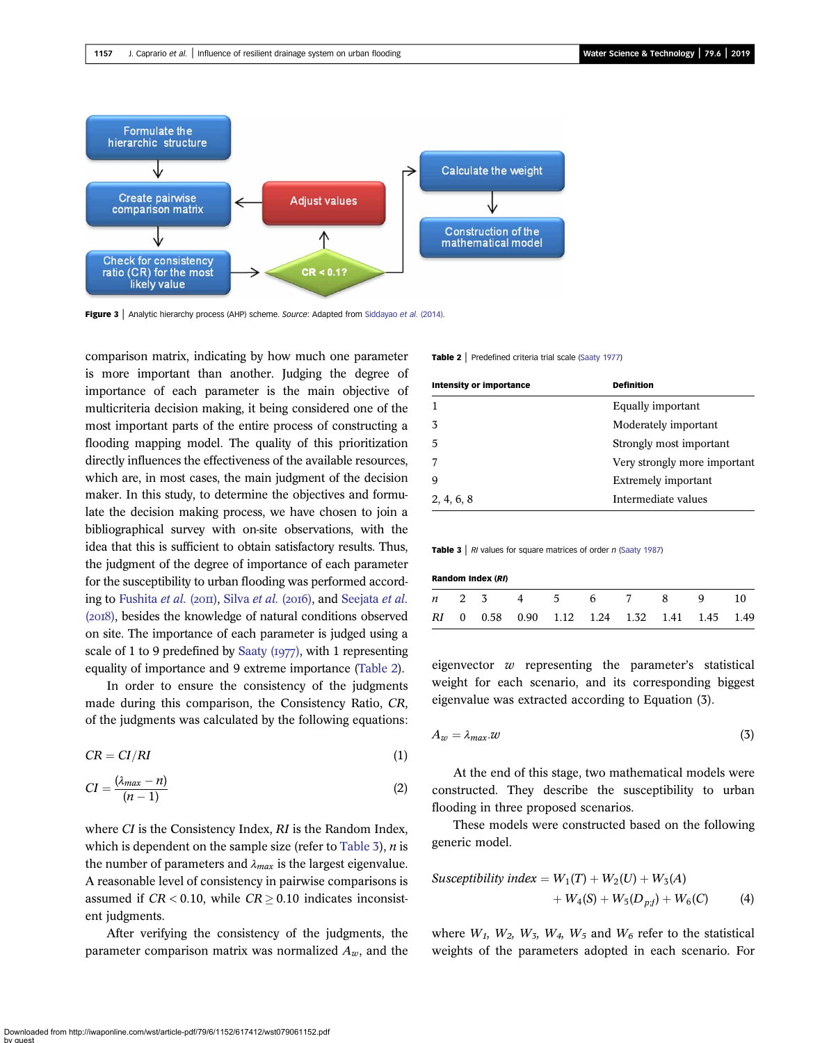<span id="page-5-0"></span>

Figure 3 | Analytic hierarchy process (AHP) scheme. Source: Adapted from [Siddayao](#page-11-0) et al. (2014).

comparison matrix, indicating by how much one parameter is more important than another. Judging the degree of importance of each parameter is the main objective of multicriteria decision making, it being considered one of the most important parts of the entire process of constructing a flooding mapping model. The quality of this prioritization directly influences the effectiveness of the available resources, which are, in most cases, the main judgment of the decision maker. In this study, to determine the objectives and formulate the decision making process, we have chosen to join a bibliographical survey with on-site observations, with the idea that this is sufficient to obtain satisfactory results. Thus, the judgment of the degree of importance of each parameter for the susceptibility to urban flooding was performed accord-ing to [Fushita](#page-10-0) [et al.](#page-11-0) ( $20\pi$ ), Silva et al. ( $20\pi$ 6), and [Seejata](#page-11-0) et al. (2018), besides the knowledge of natural conditions observed on site. The importance of each parameter is judged using a scale of 1 to 9 predefined by Saaty  $(i977)$ , with 1 representing equality of importance and 9 extreme importance (Table 2).

In order to ensure the consistency of the judgments made during this comparison, the Consistency Ratio, CR, of the judgments was calculated by the following equations:

$$
CR = CI/RI \tag{1}
$$

$$
CI = \frac{(\lambda_{max} - n)}{(n - 1)}\tag{2}
$$

where CI is the Consistency Index, RI is the Random Index, which is dependent on the sample size (refer to Table 3),  $n$  is the number of parameters and  $\lambda_{max}$  is the largest eigenvalue. A reasonable level of consistency in pairwise comparisons is assumed if  $CR < 0.10$ , while  $CR \ge 0.10$  indicates inconsistent judgments.

After verifying the consistency of the judgments, the parameter comparison matrix was normalized  $A_w$ , and the Table 2 | Predefined criteria trial scale [\(Saaty 1977](#page-11-0))

| <b>Intensity or importance</b> | <b>Definition</b>            |
|--------------------------------|------------------------------|
|                                | Equally important            |
| 3                              | Moderately important         |
| 5                              | Strongly most important      |
|                                | Very strongly more important |
| q                              | Extremely important          |
| 2, 4, 6, 8                     | Intermediate values          |

**Table 3** | RI values for square matrices of order n ([Saaty 1987\)](#page-11-0)

| Random Index (RI) |  |  |  |  |  |                        |  |                                              |  |
|-------------------|--|--|--|--|--|------------------------|--|----------------------------------------------|--|
|                   |  |  |  |  |  | <i>n</i> 2 3 4 5 6 7 8 |  |                                              |  |
|                   |  |  |  |  |  |                        |  | RI 0 0.58 0.90 1.12 1.24 1.32 1.41 1.45 1.49 |  |

eigenvector  $w$  representing the parameter's statistical weight for each scenario, and its corresponding biggest eigenvalue was extracted according to Equation (3).

$$
A_w = \lambda_{max}.w \tag{3}
$$

At the end of this stage, two mathematical models were constructed. They describe the susceptibility to urban flooding in three proposed scenarios.

These models were constructed based on the following generic model.

$$
Susceptibility index = W_1(T) + W_2(U) + W_3(A)
$$
  
+ W\_4(S) + W\_5(D<sub>pf</sub>) + W\_6(C) (4)

where  $W_1$ ,  $W_2$ ,  $W_3$ ,  $W_4$ ,  $W_5$  and  $W_6$  refer to the statistical weights of the parameters adopted in each scenario. For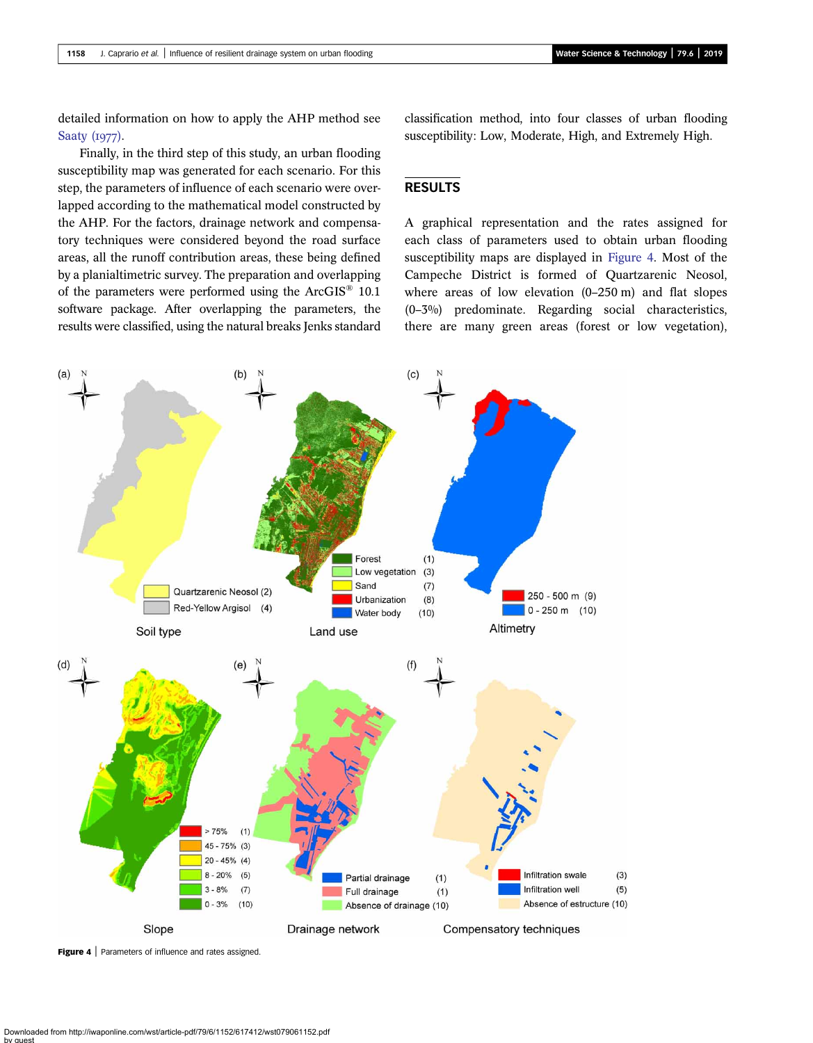detailed information on how to apply the AHP method see Saaty  $(1977)$ .

Finally, in the third step of this study, an urban flooding susceptibility map was generated for each scenario. For this step, the parameters of influence of each scenario were overlapped according to the mathematical model constructed by the AHP. For the factors, drainage network and compensatory techniques were considered beyond the road surface areas, all the runoff contribution areas, these being defined by a planialtimetric survey. The preparation and overlapping of the parameters were performed using the ArcGIS® 10.1 software package. After overlapping the parameters, the results were classified, using the natural breaks Jenks standard

classification method, into four classes of urban flooding susceptibility: Low, Moderate, High, and Extremely High.

# RESULTS

A graphical representation and the rates assigned for each class of parameters used to obtain urban flooding susceptibility maps are displayed in Figure 4. Most of the Campeche District is formed of Quartzarenic Neosol, where areas of low elevation (0–250 m) and flat slopes (0–3%) predominate. Regarding social characteristics, there are many green areas (forest or low vegetation),



Figure 4 | Parameters of influence and rates assigned.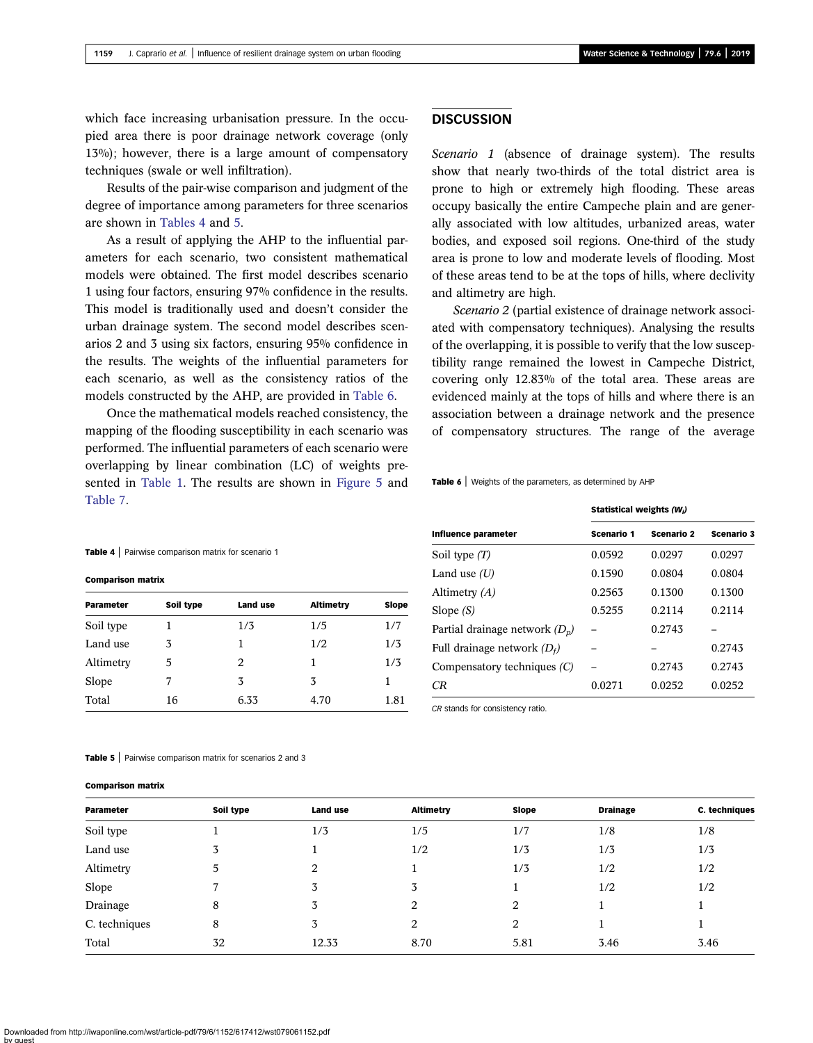which face increasing urbanisation pressure. In the occupied area there is poor drainage network coverage (only 13%); however, there is a large amount of compensatory techniques (swale or well infiltration).

Results of the pair-wise comparison and judgment of the degree of importance among parameters for three scenarios are shown in Tables 4 and 5.

As a result of applying the AHP to the influential parameters for each scenario, two consistent mathematical models were obtained. The first model describes scenario 1 using four factors, ensuring 97% confidence in the results. This model is traditionally used and doesn't consider the urban drainage system. The second model describes scenarios 2 and 3 using six factors, ensuring 95% confidence in the results. The weights of the influential parameters for each scenario, as well as the consistency ratios of the models constructed by the AHP, are provided in Table 6.

Once the mathematical models reached consistency, the mapping of the flooding susceptibility in each scenario was performed. The influential parameters of each scenario were overlapping by linear combination (LC) of weights presented in [Table 1](#page-3-0). The results are shown in [Figure 5](#page-8-0) and [Table 7](#page-8-0).

**DISCUSSION** 

Scenario 1 (absence of drainage system). The results show that nearly two-thirds of the total district area is prone to high or extremely high flooding. These areas occupy basically the entire Campeche plain and are generally associated with low altitudes, urbanized areas, water bodies, and exposed soil regions. One-third of the study area is prone to low and moderate levels of flooding. Most of these areas tend to be at the tops of hills, where declivity and altimetry are high.

Scenario 2 (partial existence of drainage network associated with compensatory techniques). Analysing the results of the overlapping, it is possible to verify that the low susceptibility range remained the lowest in Campeche District, covering only 12.83% of the total area. These areas are evidenced mainly at the tops of hills and where there is an association between a drainage network and the presence of compensatory structures. The range of the average

#### Table 6 | Weights of the parameters, as determined by AHP

|                                  | Statistical weights (W <sub>i</sub> ) |                   |                   |  |  |
|----------------------------------|---------------------------------------|-------------------|-------------------|--|--|
| <b>Influence parameter</b>       | <b>Scenario 1</b>                     | <b>Scenario 2</b> | <b>Scenario 3</b> |  |  |
| Soil type $(T)$                  | 0.0592                                | 0.0297            | 0.0297            |  |  |
| Land use $(U)$                   | 0.1590                                | 0.0804            | 0.0804            |  |  |
| Altimetry $(A)$                  | 0.2563                                | 0.1300            | 0.1300            |  |  |
| Slope $(S)$                      | 0.5255                                | 0.2114            | 0.2114            |  |  |
| Partial drainage network $(D_n)$ |                                       | 0.2743            |                   |  |  |
| Full drainage network $(D_t)$    |                                       |                   | 0.2743            |  |  |
| Compensatory techniques $(C)$    |                                       | 0.2743            | 0.2743            |  |  |
| СR                               | 0.0271                                | 0.0252            | 0.0252            |  |  |

CR stands for consistency ratio.

#### Table 5 | Pairwise comparison matrix for scenarios 2 and 3

#### Comparison matrix

| Parameter     | Soil type | Land use | <b>Altimetry</b> | <b>Slope</b> | <b>Drainage</b> | C. techniques |
|---------------|-----------|----------|------------------|--------------|-----------------|---------------|
| Soil type     |           | 1/3      | 1/5              | 1/7          | 1/8             | 1/8           |
| Land use      | 3         |          | 1/2              | 1/3          | 1/3             | 1/3           |
| Altimetry     | 5         | 2        |                  | 1/3          | 1/2             | 1/2           |
| Slope         |           | 3        | 3                |              | 1/2             | 1/2           |
| Drainage      | 8         | 3        | 2                | 2            |                 |               |
| C. techniques | 8         | 3        | 2                | 2            |                 |               |
| Total         | 32        | 12.33    | 8.70             | 5.81         | 3.46            | 3.46          |

Downloaded from http://iwaponline.com/wst/article-pdf/79/6/1152/617412/wst079061152.pdf by guest

| <b>Comparison matrix</b> |           |                             |                  |       |  |  |
|--------------------------|-----------|-----------------------------|------------------|-------|--|--|
| Parameter                | Soil type | Land use                    | <b>Altimetry</b> | Slope |  |  |
| Soil type                |           | 1/3                         | 1/5              | 1/7   |  |  |
| Land use                 | 3         | 1                           | 1/2              | 1/3   |  |  |
| Altimetry                | 5         | $\mathcal{D}_{\mathcal{L}}$ | 1                | 1/3   |  |  |
| Slope                    |           | 3                           | 3                |       |  |  |

Total 16 6.33 4.70 1.81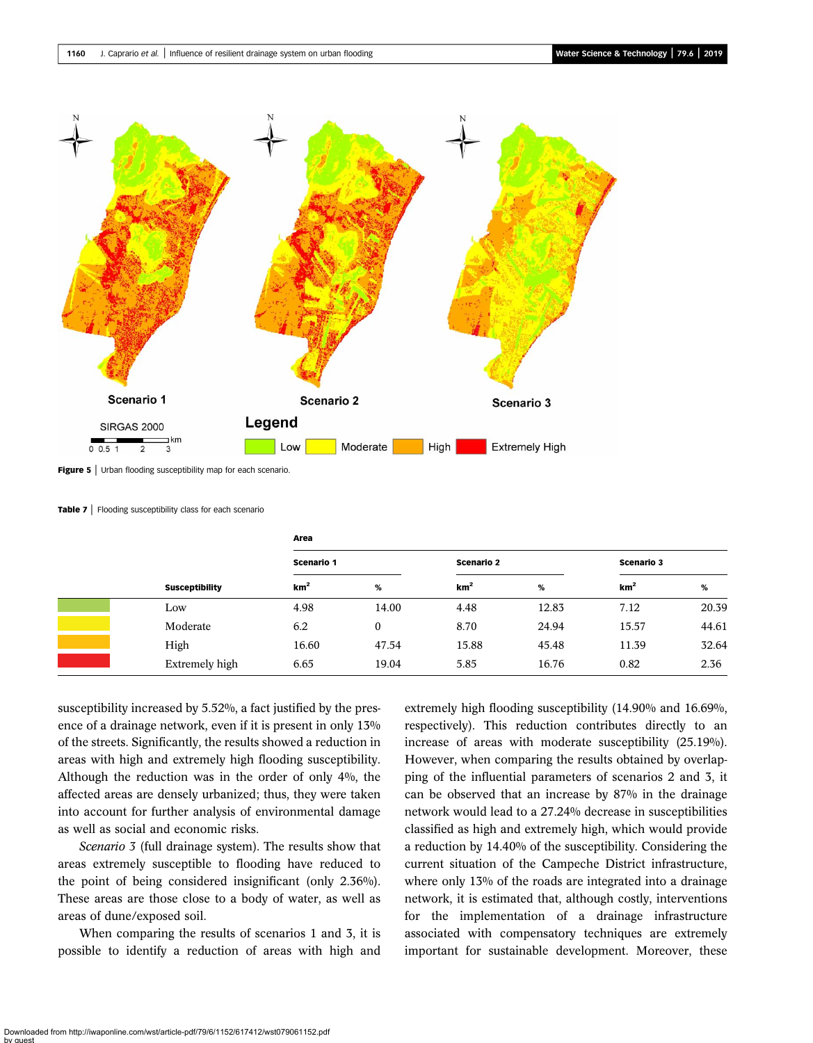<span id="page-8-0"></span>

Figure 5 | Urban flooding susceptibility map for each scenario.

Table 7 | Flooding susceptibility class for each scenario

|  |                       | Area            |       |                 |            |                 |                   |  |
|--|-----------------------|-----------------|-------|-----------------|------------|-----------------|-------------------|--|
|  | <b>Susceptibility</b> | Scenario 1      |       |                 | Scenario 2 |                 | <b>Scenario 3</b> |  |
|  |                       | km <sup>2</sup> | $\%$  | km <sup>2</sup> | %          | km <sup>2</sup> | %                 |  |
|  | Low                   | 4.98            | 14.00 | 4.48            | 12.83      | 7.12            | 20.39             |  |
|  | Moderate              | 6.2             | 0     | 8.70            | 24.94      | 15.57           | 44.61             |  |
|  | High                  | 16.60           | 47.54 | 15.88           | 45.48      | 11.39           | 32.64             |  |
|  | Extremely high        | 6.65            | 19.04 | 5.85            | 16.76      | 0.82            | 2.36              |  |

susceptibility increased by 5.52%, a fact justified by the presence of a drainage network, even if it is present in only 13% of the streets. Significantly, the results showed a reduction in areas with high and extremely high flooding susceptibility. Although the reduction was in the order of only 4%, the affected areas are densely urbanized; thus, they were taken into account for further analysis of environmental damage as well as social and economic risks.

Scenario 3 (full drainage system). The results show that areas extremely susceptible to flooding have reduced to the point of being considered insignificant (only 2.36%). These areas are those close to a body of water, as well as areas of dune/exposed soil.

When comparing the results of scenarios 1 and 3, it is possible to identify a reduction of areas with high and extremely high flooding susceptibility (14.90% and 16.69%, respectively). This reduction contributes directly to an increase of areas with moderate susceptibility (25.19%). However, when comparing the results obtained by overlapping of the influential parameters of scenarios 2 and 3, it can be observed that an increase by 87% in the drainage network would lead to a 27.24% decrease in susceptibilities classified as high and extremely high, which would provide a reduction by 14.40% of the susceptibility. Considering the current situation of the Campeche District infrastructure, where only 13% of the roads are integrated into a drainage network, it is estimated that, although costly, interventions for the implementation of a drainage infrastructure associated with compensatory techniques are extremely important for sustainable development. Moreover, these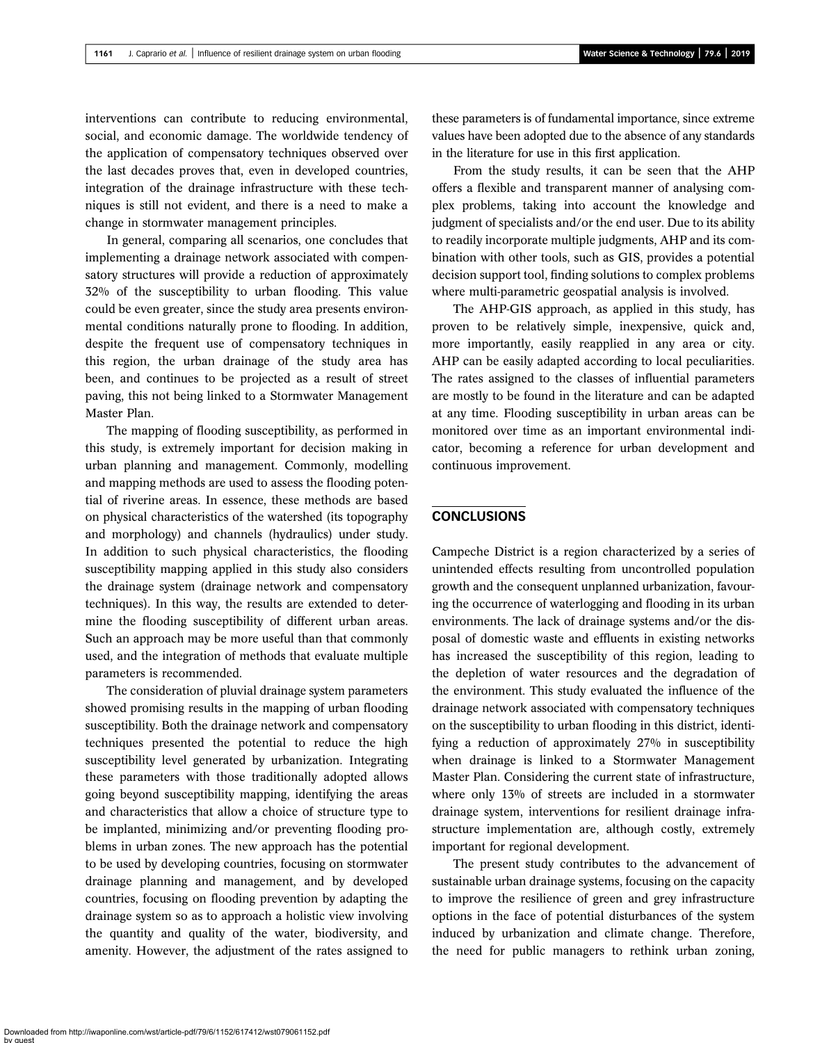interventions can contribute to reducing environmental, social, and economic damage. The worldwide tendency of the application of compensatory techniques observed over the last decades proves that, even in developed countries, integration of the drainage infrastructure with these techniques is still not evident, and there is a need to make a change in stormwater management principles.

In general, comparing all scenarios, one concludes that implementing a drainage network associated with compensatory structures will provide a reduction of approximately 32% of the susceptibility to urban flooding. This value could be even greater, since the study area presents environmental conditions naturally prone to flooding. In addition, despite the frequent use of compensatory techniques in this region, the urban drainage of the study area has been, and continues to be projected as a result of street paving, this not being linked to a Stormwater Management Master Plan.

The mapping of flooding susceptibility, as performed in this study, is extremely important for decision making in urban planning and management. Commonly, modelling and mapping methods are used to assess the flooding potential of riverine areas. In essence, these methods are based on physical characteristics of the watershed (its topography and morphology) and channels (hydraulics) under study. In addition to such physical characteristics, the flooding susceptibility mapping applied in this study also considers the drainage system (drainage network and compensatory techniques). In this way, the results are extended to determine the flooding susceptibility of different urban areas. Such an approach may be more useful than that commonly used, and the integration of methods that evaluate multiple parameters is recommended.

The consideration of pluvial drainage system parameters showed promising results in the mapping of urban flooding susceptibility. Both the drainage network and compensatory techniques presented the potential to reduce the high susceptibility level generated by urbanization. Integrating these parameters with those traditionally adopted allows going beyond susceptibility mapping, identifying the areas and characteristics that allow a choice of structure type to be implanted, minimizing and/or preventing flooding problems in urban zones. The new approach has the potential to be used by developing countries, focusing on stormwater drainage planning and management, and by developed countries, focusing on flooding prevention by adapting the drainage system so as to approach a holistic view involving the quantity and quality of the water, biodiversity, and amenity. However, the adjustment of the rates assigned to these parameters is of fundamental importance, since extreme values have been adopted due to the absence of any standards in the literature for use in this first application.

From the study results, it can be seen that the AHP offers a flexible and transparent manner of analysing complex problems, taking into account the knowledge and judgment of specialists and/or the end user. Due to its ability to readily incorporate multiple judgments, AHP and its combination with other tools, such as GIS, provides a potential decision support tool, finding solutions to complex problems where multi-parametric geospatial analysis is involved.

The AHP-GIS approach, as applied in this study, has proven to be relatively simple, inexpensive, quick and, more importantly, easily reapplied in any area or city. AHP can be easily adapted according to local peculiarities. The rates assigned to the classes of influential parameters are mostly to be found in the literature and can be adapted at any time. Flooding susceptibility in urban areas can be monitored over time as an important environmental indicator, becoming a reference for urban development and continuous improvement.

# **CONCLUSIONS**

Campeche District is a region characterized by a series of unintended effects resulting from uncontrolled population growth and the consequent unplanned urbanization, favouring the occurrence of waterlogging and flooding in its urban environments. The lack of drainage systems and/or the disposal of domestic waste and effluents in existing networks has increased the susceptibility of this region, leading to the depletion of water resources and the degradation of the environment. This study evaluated the influence of the drainage network associated with compensatory techniques on the susceptibility to urban flooding in this district, identifying a reduction of approximately 27% in susceptibility when drainage is linked to a Stormwater Management Master Plan. Considering the current state of infrastructure, where only 13% of streets are included in a stormwater drainage system, interventions for resilient drainage infrastructure implementation are, although costly, extremely important for regional development.

The present study contributes to the advancement of sustainable urban drainage systems, focusing on the capacity to improve the resilience of green and grey infrastructure options in the face of potential disturbances of the system induced by urbanization and climate change. Therefore, the need for public managers to rethink urban zoning,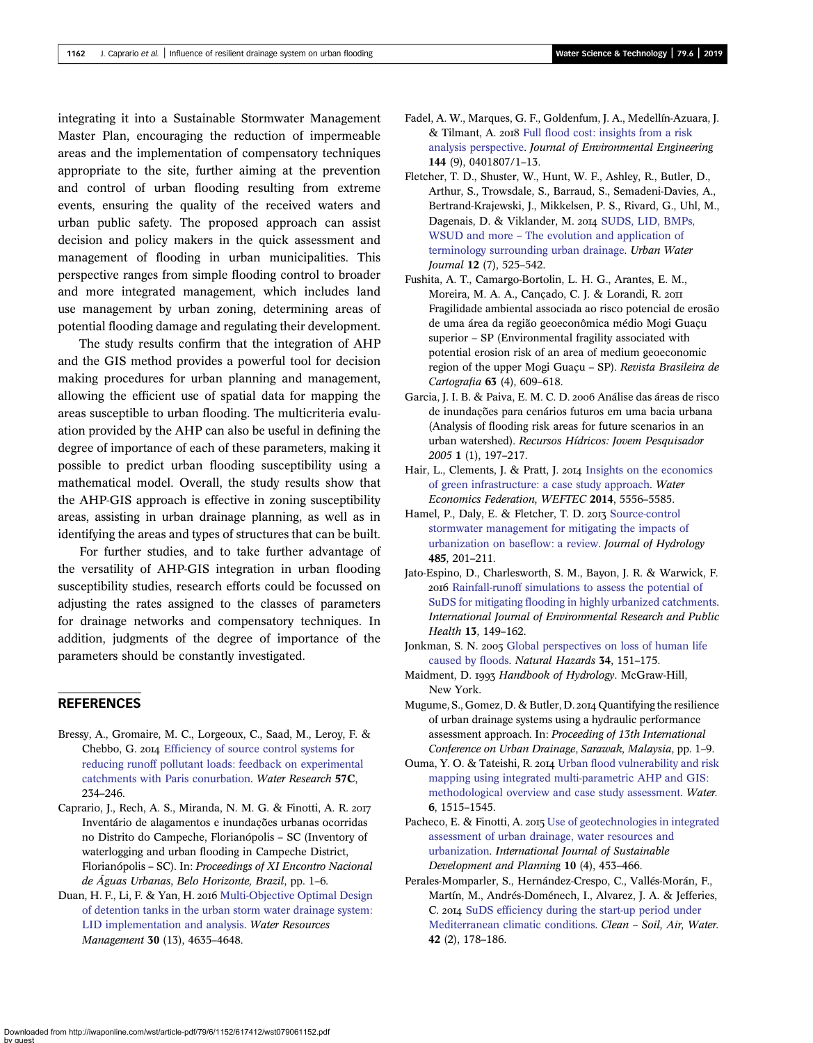<span id="page-10-0"></span>integrating it into a Sustainable Stormwater Management Master Plan, encouraging the reduction of impermeable areas and the implementation of compensatory techniques appropriate to the site, further aiming at the prevention and control of urban flooding resulting from extreme events, ensuring the quality of the received waters and urban public safety. The proposed approach can assist decision and policy makers in the quick assessment and management of flooding in urban municipalities. This perspective ranges from simple flooding control to broader and more integrated management, which includes land use management by urban zoning, determining areas of potential flooding damage and regulating their development.

The study results confirm that the integration of AHP and the GIS method provides a powerful tool for decision making procedures for urban planning and management, allowing the efficient use of spatial data for mapping the areas susceptible to urban flooding. The multicriteria evaluation provided by the AHP can also be useful in defining the degree of importance of each of these parameters, making it possible to predict urban flooding susceptibility using a mathematical model. Overall, the study results show that the AHP-GIS approach is effective in zoning susceptibility areas, assisting in urban drainage planning, as well as in identifying the areas and types of structures that can be built.

For further studies, and to take further advantage of the versatility of AHP-GIS integration in urban flooding susceptibility studies, research efforts could be focussed on adjusting the rates assigned to the classes of parameters for drainage networks and compensatory techniques. In addition, judgments of the degree of importance of the parameters should be constantly investigated.

# **REFERENCES**

- Bressy, A., Gromaire, M. C., Lorgeoux, C., Saad, M., Leroy, F. & Chebbo, G. 2014 [Efficiency of source control systems for](http://dx.doi.org/10.1016/j.watres.2014.03.040) [reducing runoff pollutant loads: feedback on experimental](http://dx.doi.org/10.1016/j.watres.2014.03.040) [catchments with Paris conurbation.](http://dx.doi.org/10.1016/j.watres.2014.03.040) Water Research 57C, 234–246.
- Caprario, J., Rech, A. S., Miranda, N. M. G. & Finotti, A. R. Inventário de alagamentos e inundações urbanas ocorridas no Distrito do Campeche, Florianópolis – SC (Inventory of waterlogging and urban flooding in Campeche District, Florianópolis – SC). In: Proceedings of XI Encontro Nacional de Águas Urbanas, Belo Horizonte, Brazil, pp. 1–6.
- Duan, H. F., Li, F. & Yan, H. 2016 [Multi-Objective Optimal Design](http://dx.doi.org/10.1007/s11269-016-1444-1) [of detention tanks in the urban storm water drainage system:](http://dx.doi.org/10.1007/s11269-016-1444-1) [LID implementation and analysis.](http://dx.doi.org/10.1007/s11269-016-1444-1) Water Resources Management 30 (13), 4635–4648.
- Fadel, A. W., Marques, G. F., Goldenfum, J. A., Medellín-Azuara, J. & Tilmant, A. 2018 [Full flood cost: insights from a risk](http://dx.doi.org/10.1061/(ASCE)EE.1943-7870.0001414) [analysis perspective.](http://dx.doi.org/10.1061/(ASCE)EE.1943-7870.0001414) Journal of Environmental Engineering 144 (9), 0401807/1–13.
- Fletcher, T. D., Shuster, W., Hunt, W. F., Ashley, R., Butler, D., Arthur, S., Trowsdale, S., Barraud, S., Semadeni-Davies, A., Bertrand-Krajewski, J., Mikkelsen, P. S., Rivard, G., Uhl, M., Dagenais, D. & Viklander, M. 2014 [SUDS, LID, BMPs,](http://dx.doi.org/10.1080/1573062X.2014.916314) WSUD and more – [The evolution and application of](http://dx.doi.org/10.1080/1573062X.2014.916314) [terminology surrounding urban drainage](http://dx.doi.org/10.1080/1573062X.2014.916314). Urban Water Journal 12 (7), 525–542.
- Fushita, A. T., Camargo-Bortolin, L. H. G., Arantes, E. M., Moreira, M. A. A., Cançado, C. J. & Lorandi, R. Fragilidade ambiental associada ao risco potencial de erosão de uma área da região geoeconômica médio Mogi Guaçu superior – SP (Environmental fragility associated with potential erosion risk of an area of medium geoeconomic region of the upper Mogi Guaçu – SP). Revista Brasileira de Cartografia 63 (4), 609–618.
- Garcia, J. I. B. & Paiva, E. M. C. D. 2006 Análise das áreas de risco de inundações para cenários futuros em uma bacia urbana (Analysis of flooding risk areas for future scenarios in an urban watershed). Recursos Hídricos: Jovem Pesquisador 2005 1 (1), 197–217.
- Hair, L., Clements, J. & Pratt, J. 2014 [Insights on the economics](http://dx.doi.org/10.2175/193864714815938869) [of green infrastructure: a case study approach](http://dx.doi.org/10.2175/193864714815938869). Water Economics Federation, WEFTEC 2014, 5556–5585.
- Hamel, P., Daly, E. & Fletcher, T. D. 2013 [Source-control](http://dx.doi.org/10.1016/j.jhydrol.2013.01.001) [stormwater management for mitigating the impacts of](http://dx.doi.org/10.1016/j.jhydrol.2013.01.001) [urbanization on baseflow: a review.](http://dx.doi.org/10.1016/j.jhydrol.2013.01.001) Journal of Hydrology 485, 201–211.
- Jato-Espino, D., Charlesworth, S. M., Bayon, J. R. & Warwick, F. 2016 [Rainfall-runoff simulations to assess the potential of](http://dx.doi.org/10.3390/ijerph13010149) [SuDS for mitigating flooding in highly urbanized catchments](http://dx.doi.org/10.3390/ijerph13010149). International Journal of Environmental Research and Public Health 13, 149–162.
- Jonkman, S. N. 2005 [Global perspectives on loss of human life](http://dx.doi.org/10.1007/s11069-004-8891-3) [caused by floods.](http://dx.doi.org/10.1007/s11069-004-8891-3) Natural Hazards 34, 151–175.
- Maidment, D. 1993 Handbook of Hydrology. McGraw-Hill, New York.
- Mugume, S., Gomez, D. & Butler, D. 2014 Quantifying the resilience of urban drainage systems using a hydraulic performance assessment approach. In: Proceeding of 13th International Conference on Urban Drainage, Sarawak, Malaysia, pp. 1–9.
- Ouma, Y. O. & Tateishi, R. 2014 [Urban flood vulnerability and risk](http://dx.doi.org/10.3390/w6061515) [mapping using integrated multi-parametric AHP and GIS:](http://dx.doi.org/10.3390/w6061515) [methodological overview and case study assessment](http://dx.doi.org/10.3390/w6061515). Water. 6, 1515–1545.
- Pacheco, E. & Finotti, A. 2015 [Use of geotechnologies in integrated](http://dx.doi.org/10.2495/SDP-V10-N4-453-466) [assessment of urban drainage, water resources and](http://dx.doi.org/10.2495/SDP-V10-N4-453-466) [urbanization](http://dx.doi.org/10.2495/SDP-V10-N4-453-466). International Journal of Sustainable Development and Planning 10 (4), 453–466.
- Perales-Momparler, S., Hernández-Crespo, C., Vallés-Morán, F., Martín, M., Andrés-Doménech, I., Alvarez, J. A. & Jefferies, C. 2014 [SuDS efficiency during the start-up period under](http://dx.doi.org/10.1002/clen.201300164) [Mediterranean climatic conditions](http://dx.doi.org/10.1002/clen.201300164). Clean – Soil, Air, Water. 42 (2), 178–186.